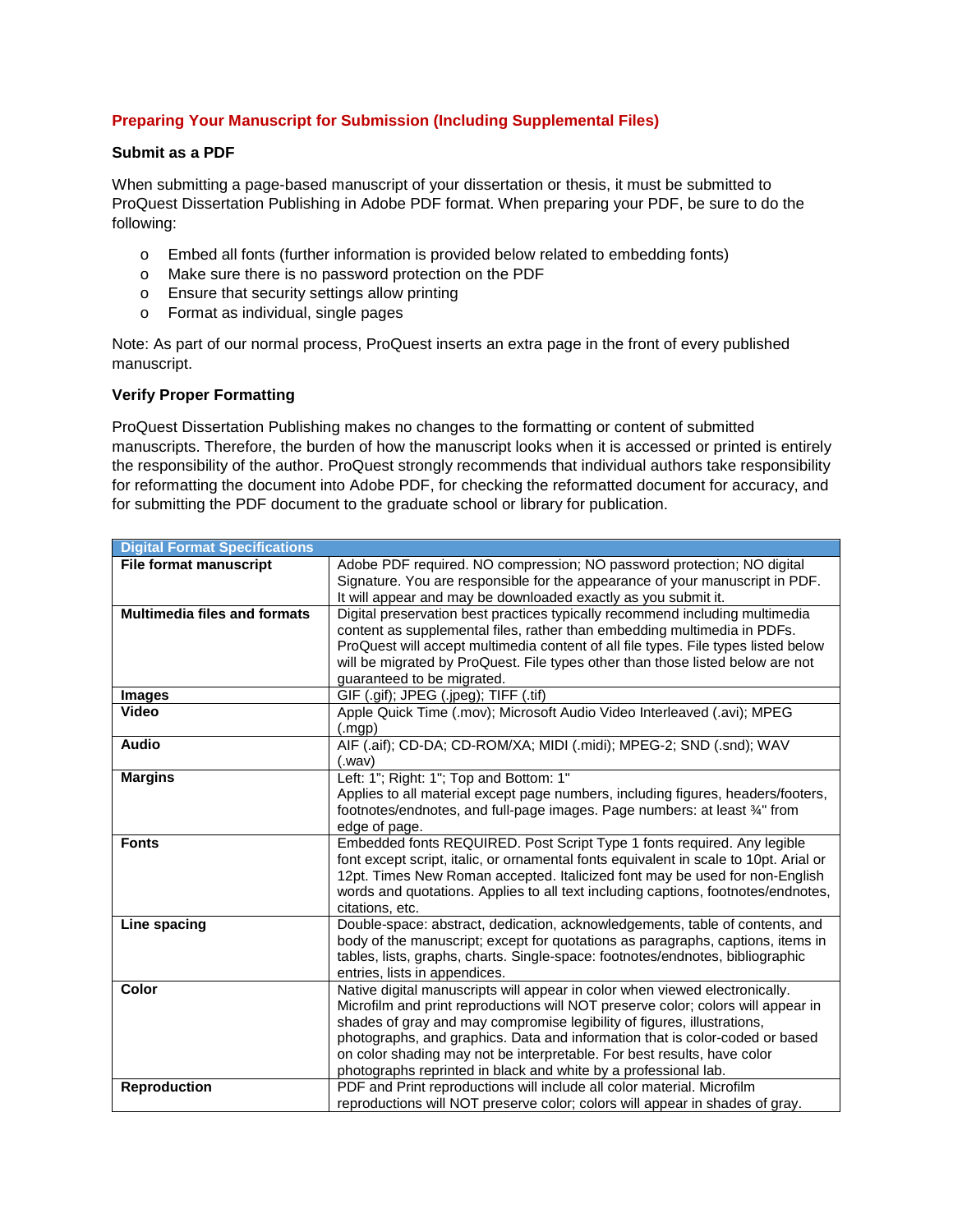# **Preparing Your Manuscript for Submission (Including Supplemental Files)**

### **Submit as a PDF**

When submitting a page-based manuscript of your dissertation or thesis, it must be submitted to ProQuest Dissertation Publishing in Adobe PDF format. When preparing your PDF, be sure to do the following:

- o Embed all fonts (further information is provided below related to embedding fonts)
- o Make sure there is no password protection on the PDF
- o Ensure that security settings allow printing
- o Format as individual, single pages

Note: As part of our normal process, ProQuest inserts an extra page in the front of every published manuscript.

### **Verify Proper Formatting**

ProQuest Dissertation Publishing makes no changes to the formatting or content of submitted manuscripts. Therefore, the burden of how the manuscript looks when it is accessed or printed is entirely the responsibility of the author. ProQuest strongly recommends that individual authors take responsibility for reformatting the document into Adobe PDF, for checking the reformatted document for accuracy, and for submitting the PDF document to the graduate school or library for publication.

| <b>Digital Format Specifications</b> |                                                                                                                                                                                                                                                                                                                                                                                                                                                                          |
|--------------------------------------|--------------------------------------------------------------------------------------------------------------------------------------------------------------------------------------------------------------------------------------------------------------------------------------------------------------------------------------------------------------------------------------------------------------------------------------------------------------------------|
| <b>File format manuscript</b>        | Adobe PDF required. NO compression; NO password protection; NO digital<br>Signature. You are responsible for the appearance of your manuscript in PDF.<br>It will appear and may be downloaded exactly as you submit it.                                                                                                                                                                                                                                                 |
| <b>Multimedia files and formats</b>  | Digital preservation best practices typically recommend including multimedia<br>content as supplemental files, rather than embedding multimedia in PDFs.<br>ProQuest will accept multimedia content of all file types. File types listed below<br>will be migrated by ProQuest. File types other than those listed below are not<br>guaranteed to be migrated.                                                                                                           |
| <b>Images</b>                        | GIF (.gif); JPEG (.jpeg); TIFF (.tif)                                                                                                                                                                                                                                                                                                                                                                                                                                    |
| Video                                | Apple Quick Time (.mov); Microsoft Audio Video Interleaved (.avi); MPEG<br>(mgp)                                                                                                                                                                                                                                                                                                                                                                                         |
| <b>Audio</b>                         | AIF (.aif); CD-DA; CD-ROM/XA; MIDI (.midi); MPEG-2; SND (.snd); WAV<br>(.wav)                                                                                                                                                                                                                                                                                                                                                                                            |
| <b>Margins</b>                       | Left: 1"; Right: 1"; Top and Bottom: 1"<br>Applies to all material except page numbers, including figures, headers/footers,<br>footnotes/endnotes, and full-page images. Page numbers: at least 3/4" from<br>edge of page.                                                                                                                                                                                                                                               |
| <b>Fonts</b>                         | Embedded fonts REQUIRED. Post Script Type 1 fonts required. Any legible<br>font except script, italic, or ornamental fonts equivalent in scale to 10pt. Arial or<br>12pt. Times New Roman accepted. Italicized font may be used for non-English<br>words and quotations. Applies to all text including captions, footnotes/endnotes,<br>citations, etc.                                                                                                                  |
| Line spacing                         | Double-space: abstract, dedication, acknowledgements, table of contents, and<br>body of the manuscript; except for quotations as paragraphs, captions, items in<br>tables, lists, graphs, charts. Single-space: footnotes/endnotes, bibliographic<br>entries, lists in appendices.                                                                                                                                                                                       |
| Color                                | Native digital manuscripts will appear in color when viewed electronically.<br>Microfilm and print reproductions will NOT preserve color; colors will appear in<br>shades of gray and may compromise legibility of figures, illustrations,<br>photographs, and graphics. Data and information that is color-coded or based<br>on color shading may not be interpretable. For best results, have color<br>photographs reprinted in black and white by a professional lab. |
| <b>Reproduction</b>                  | PDF and Print reproductions will include all color material. Microfilm<br>reproductions will NOT preserve color; colors will appear in shades of gray.                                                                                                                                                                                                                                                                                                                   |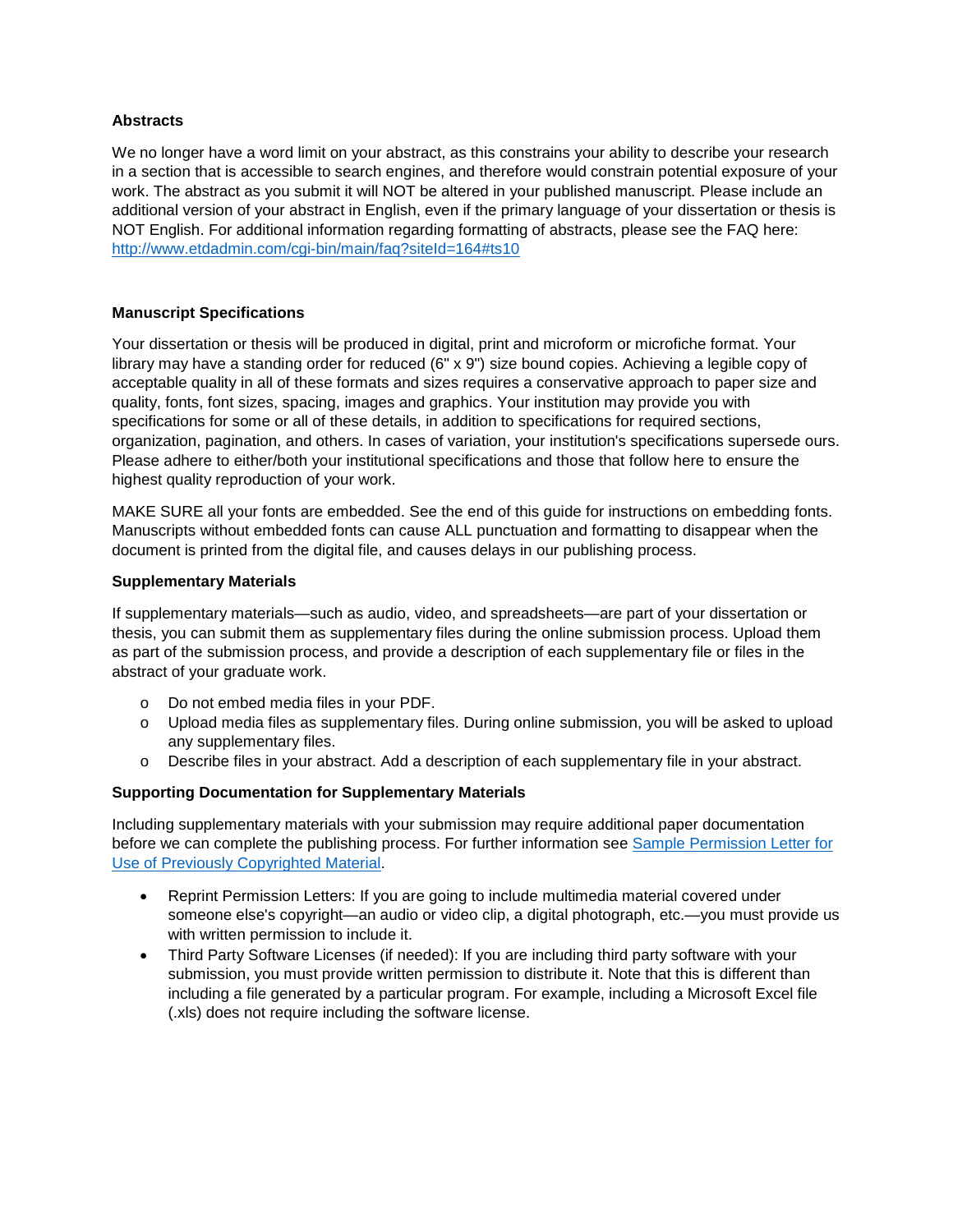## **Abstracts**

We no longer have a word limit on your abstract, as this constrains your ability to describe your research in a section that is accessible to search engines, and therefore would constrain potential exposure of your work. The abstract as you submit it will NOT be altered in your published manuscript. Please include an additional version of your abstract in English, even if the primary language of your dissertation or thesis is NOT English. For additional information regarding formatting of abstracts, please see the FAQ here: [http://www.etdadmin.com/cgi-bin/main/faq?siteId=164#ts10](http://www.etdadmin.com/cgi-bin/main/faq?siteId=164%23ts10)

## **Manuscript Specifications**

Your dissertation or thesis will be produced in digital, print and microform or microfiche format. Your library may have a standing order for reduced (6" x 9") size bound copies. Achieving a legible copy of acceptable quality in all of these formats and sizes requires a conservative approach to paper size and quality, fonts, font sizes, spacing, images and graphics. Your institution may provide you with specifications for some or all of these details, in addition to specifications for required sections, organization, pagination, and others. In cases of variation, your institution's specifications supersede ours. Please adhere to either/both your institutional specifications and those that follow here to ensure the highest quality reproduction of your work.

MAKE SURE all your fonts are embedded. See the end of this guide for instructions on embedding fonts. Manuscripts without embedded fonts can cause ALL punctuation and formatting to disappear when the document is printed from the digital file, and causes delays in our publishing process.

### **Supplementary Materials**

If supplementary materials—such as audio, video, and spreadsheets—are part of your dissertation or thesis, you can submit them as supplementary files during the online submission process. Upload them as part of the submission process, and provide a description of each supplementary file or files in the abstract of your graduate work.

- o Do not embed media files in your PDF.
- o Upload media files as supplementary files. During online submission, you will be asked to upload any supplementary files.
- o Describe files in your abstract. Add a description of each supplementary file in your abstract.

### **Supporting Documentation for Supplementary Materials**

Including supplementary materials with your submission may require additional paper documentation before we can complete the publishing process. For further information see [Sample Permission Letter for](http://media2.proquest.com/documents/UMI_CopyrightGuide.pdf)  [Use of Previously Copyrighted Material.](http://media2.proquest.com/documents/UMI_CopyrightGuide.pdf)

- Reprint Permission Letters: If you are going to include multimedia material covered under someone else's copyright—an audio or video clip, a digital photograph, etc.—you must provide us with written permission to include it.
- Third Party Software Licenses (if needed): If you are including third party software with your submission, you must provide written permission to distribute it. Note that this is different than including a file generated by a particular program. For example, including a Microsoft Excel file (.xls) does not require including the software license.